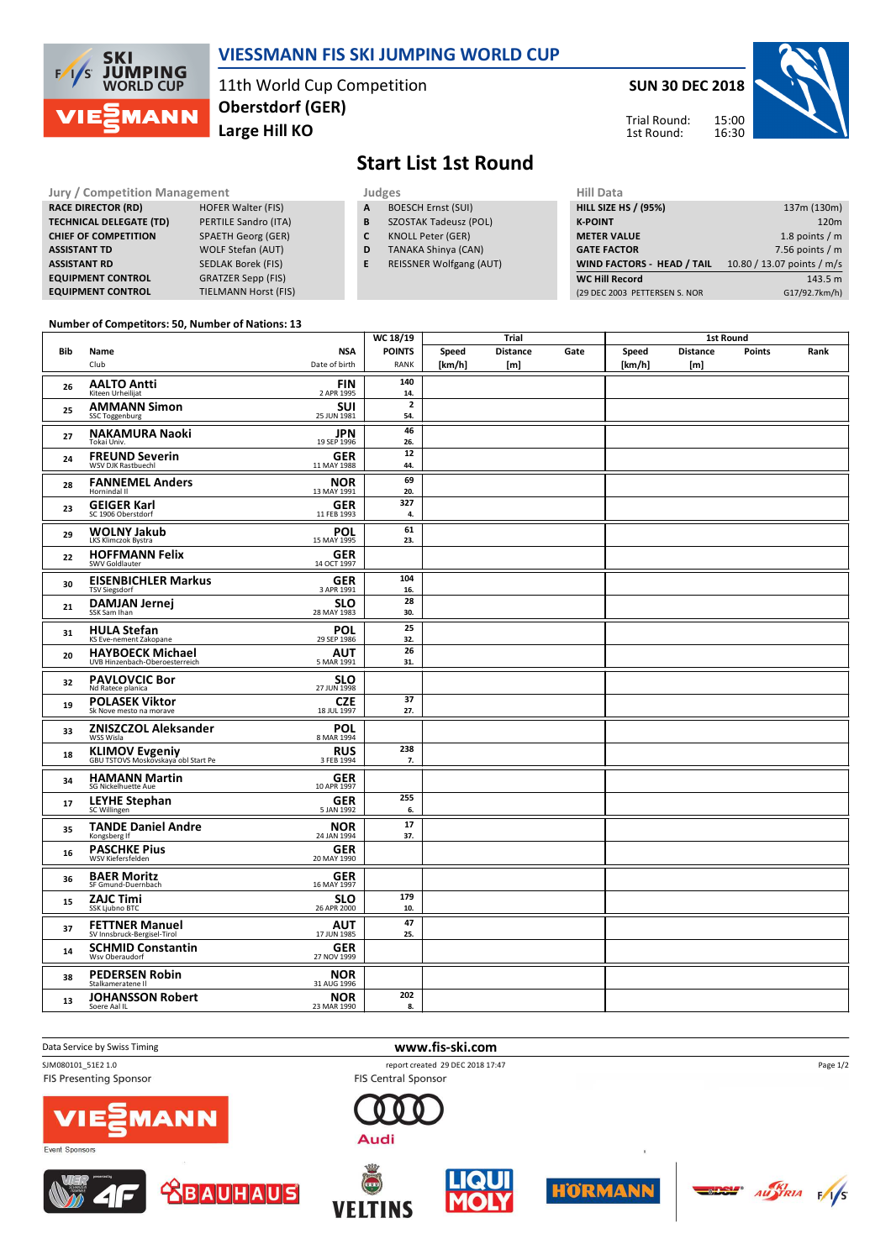

**CHIEF OF COMPETITION** 

### **VIESSMANN FIS SKI JUMPING WORLD CUP**

**Start List 1st Round**

**A** BOESCH Ernst (SUI) **B** SZOSTAK Tadeusz (POL) **C** KNOLL Peter (GER) **D** TANAKA Shinya (CAN) **E** REISSNER Wolfgang (AUT)

11th World Cup Competition **Large Hill KO Oberstdorf (GER)**



1st Round:

# **Jury / Competition Management Management All Data** Judges **Hill Data HILL SIZE HS / (95%)** 137m (130m) **K-POINT** 120m **METER VALUE** 1.8 points / m **GATE FACTOR** 6 and 10 and 10 and 10 and 10 and 10 and 10 and 10 and 10 and 10 and 10 and 10 and 10 and 10 and 10 and 10 and 10 and 10 and 10 and 10 and 10 and 10 and 10 and 10 and 10 and 10 and 10 and 10 and 10 and 10 and **WIND FACTORS - HEAD / TAIL** 10.80 / 13.07 points / m/s

**WC Hill Record** 143.5 m (29 DEC 2003 PETTERSEN S. NOR G17/92.7km/h)

#### **Number of Competitors: 50, Number of Nations: 13**

**TIELMANN Horst (FIS)** 

**RACE DIRECTOR (RD) HOFER Walter (FIS) TECHNICAL DELEGATE (TD)** PERTILE Sandro (ITA)<br>**CHIEF OF COMPETITION** SPAETH Georg (GER)

**ASSISTANT TD** WOLF Stefan (AUT) **ASSISTANT RD** SEDLAK Borek (FIS) **EQUIPMENT CONTROL** GRATZER Sepp (FIS)<br>**EQUIPMENT CONTROL** TIELMANN Horst (FI

|     |                                                              |                             | WC 18/19                       | Trial               |                        |      |                     |                        |        |      |
|-----|--------------------------------------------------------------|-----------------------------|--------------------------------|---------------------|------------------------|------|---------------------|------------------------|--------|------|
| Bib | Name<br>Club                                                 | <b>NSA</b><br>Date of birth | <b>POINTS</b><br>RANK          | Speed<br>[ $km/h$ ] | <b>Distance</b><br>[m] | Gate | Speed<br>[ $km/h$ ] | <b>Distance</b><br>[m] | Points | Rank |
| 26  | <b>AALTO Antti</b><br>Kiteen Urheilijat                      | $FIN$ <sub>2 APR 1995</sub> | 140<br>14.                     |                     |                        |      |                     |                        |        |      |
| 25  | <b>AMMANN Simon</b><br>SSC Toggenburg                        | <b>SUI</b><br>25 JUN 1981   | $\overline{\mathbf{2}}$<br>54. |                     |                        |      |                     |                        |        |      |
| 27  | <b>NAKAMURA Naoki</b><br>Tokai Univ.                         | <b>JPN</b><br>19 SEP 1996   | 46<br>26.                      |                     |                        |      |                     |                        |        |      |
| 24  | <b>FREUND Severin</b><br><b>WSV DJK Rastbuechl</b>           | <b>GER</b><br>11 MAY 1988   | 12<br>44.                      |                     |                        |      |                     |                        |        |      |
| 28  | <b>FANNEMEL Anders</b><br>Hornindal II                       | <b>NOR</b><br>13 MAY 1991   | 69<br>20.                      |                     |                        |      |                     |                        |        |      |
| 23  | <b>GEIGER Karl</b><br>SC 1906 Oberstdorf                     | <b>GER</b><br>11 FEB 1993   | 327<br>4.                      |                     |                        |      |                     |                        |        |      |
| 29  | <b>WOLNY Jakub</b><br>LKS Klimczok Bystra                    | $POL$<br>15 MAY 1995        | 61<br>23.                      |                     |                        |      |                     |                        |        |      |
| 22  | <b>HOFFMANN Felix</b><br>SWV Goldlauter                      | <b>GER</b><br>14 OCT 1997   |                                |                     |                        |      |                     |                        |        |      |
| 30  | <b>EISENBICHLER Markus</b><br><b>TSV Siegsdorf</b>           | <b>GER</b><br>3 APR 1991    | 104<br>16.                     |                     |                        |      |                     |                        |        |      |
| 21  | <b>DAMJAN Jernej</b><br>SSK Sam Ihan                         | <b>SLO</b><br>28 MAY 1983   | 28<br>30.                      |                     |                        |      |                     |                        |        |      |
| 31  | <b>HULA Stefan</b><br>KS Eve-nement Zakopane                 | <b>POL</b><br>29 SEP 1986   | 25<br>32.                      |                     |                        |      |                     |                        |        |      |
| 20  | <b>HAYBOECK Michael</b><br>UVB Hinzenbach-Oberoesterreich    | <b>AUT</b><br>5 MAR 1991    | 26<br>31.                      |                     |                        |      |                     |                        |        |      |
| 32  | <b>PAVLOVCIC Bor</b><br>Nd Ratece planica                    | <b>SLO</b><br>27 JUN 1998   |                                |                     |                        |      |                     |                        |        |      |
| 19  | <b>POLASEK Viktor</b><br>Sk Nove mesto na morave             | <b>CZE</b><br>18 JUL 1997   | 37<br>27.                      |                     |                        |      |                     |                        |        |      |
| 33  | ZNISZCZOL Aleksander                                         | POL<br>8 MAR 1994           |                                |                     |                        |      |                     |                        |        |      |
| 18  | <b>KLIMOV Evgeniy</b><br>GBU TSTOVS Moskovskaya obl Start Pe | <b>RUS</b><br>3 FEB 1994    | 238<br>7.                      |                     |                        |      |                     |                        |        |      |
| 34  | <b>HAMANN Martin</b><br>SG Nickelhuette Aue                  | <b>GER</b><br>10 APR 1997   |                                |                     |                        |      |                     |                        |        |      |
| 17  | <b>LEYHE Stephan</b><br>sc Willingen                         | <b>GER</b><br>5 JAN 1992    | 255<br>6.                      |                     |                        |      |                     |                        |        |      |
| 35  | <b>TANDE Daniel Andre</b><br>Kongsberg If                    | <b>NOR</b><br>24 JAN 1994   | 17<br>37.                      |                     |                        |      |                     |                        |        |      |
| 16  | <b>PASCHKE Pius</b><br>WSV Kiefersfelden                     | <b>GER</b><br>20 MAY 1990   |                                |                     |                        |      |                     |                        |        |      |
| 36  | <b>BAER Moritz</b><br>SF Gmund-Duernbach                     | <b>GER</b><br>16 MAY 1997   |                                |                     |                        |      |                     |                        |        |      |
| 15  | <b>ZAJC Timi</b><br>SSK Ljubno BTC                           | <b>SLO</b><br>26 APR 2000   | 179<br>10.                     |                     |                        |      |                     |                        |        |      |
| 37  | <b>FETTNER Manuel</b><br>SV Innsbruck-Bergisel-Tirol         | <b>AUT</b><br>17 JUN 1985   | 47<br>25.                      |                     |                        |      |                     |                        |        |      |
| 14  | <b>SCHMID Constantin</b><br>Wsv Oberaudorf                   | <b>GER</b><br>27 NOV 1999   |                                |                     |                        |      |                     |                        |        |      |
| 38  | <b>PEDERSEN Robin</b><br>Stalkameratene II                   | <b>NOR</b><br>31 AUG 1996   |                                |                     |                        |      |                     |                        |        |      |
| 13  | <b>JOHANSSON Robert</b><br>Soere Aal IL                      | <b>NOR</b><br>23 MAR 1990   | 202<br>8.                      |                     |                        |      |                     |                        |        |      |

### Data Service by Swiss Timing **www.fis-ski.com**

FIS Presenting Sponsor

SJM080101\_51E2 1.0 report created 29 DEC 2018 17:47 FIS Central Sponsor









Page 1/2

1an